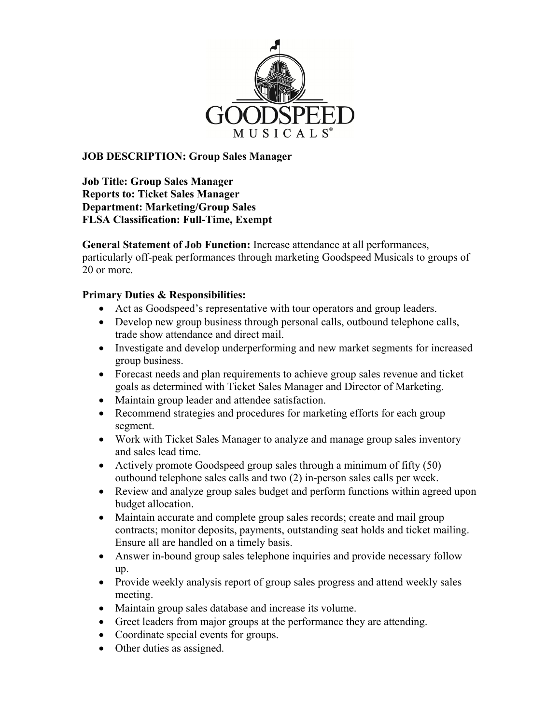

## **JOB DESCRIPTION: Group Sales Manager**

**Job Title: Group Sales Manager Reports to: Ticket Sales Manager Department: Marketing/Group Sales FLSA Classification: Full-Time, Exempt**

**General Statement of Job Function:** Increase attendance at all performances, particularly off-peak performances through marketing Goodspeed Musicals to groups of 20 or more.

## **Primary Duties & Responsibilities:**

- Act as Goodspeed's representative with tour operators and group leaders.
- Develop new group business through personal calls, outbound telephone calls, trade show attendance and direct mail.
- Investigate and develop underperforming and new market segments for increased group business.
- Forecast needs and plan requirements to achieve group sales revenue and ticket goals as determined with Ticket Sales Manager and Director of Marketing.
- Maintain group leader and attendee satisfaction.
- Recommend strategies and procedures for marketing efforts for each group segment.
- Work with Ticket Sales Manager to analyze and manage group sales inventory and sales lead time.
- Actively promote Goodspeed group sales through a minimum of fifty (50) outbound telephone sales calls and two (2) in-person sales calls per week.
- Review and analyze group sales budget and perform functions within agreed upon budget allocation.
- Maintain accurate and complete group sales records; create and mail group contracts; monitor deposits, payments, outstanding seat holds and ticket mailing. Ensure all are handled on a timely basis.
- Answer in-bound group sales telephone inquiries and provide necessary follow up.
- Provide weekly analysis report of group sales progress and attend weekly sales meeting.
- Maintain group sales database and increase its volume.
- Greet leaders from major groups at the performance they are attending.
- Coordinate special events for groups.
- Other duties as assigned.